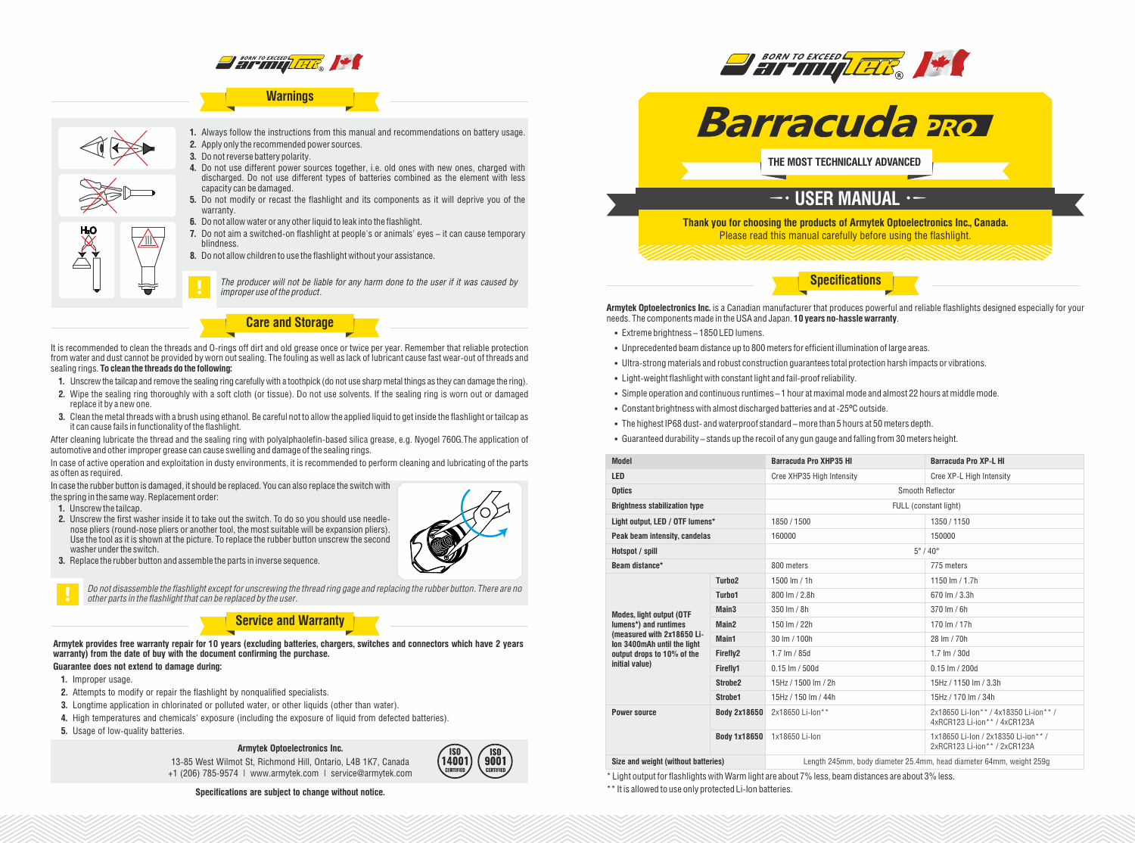

## **Warnings**



**1.** Always follow the instructions from this manual and recommendations on battery usage. **2.** Apply only the recommended power sources.

- **3.** Do not reverse battery polarity.
- **4.** Do not use different power sources together, i.e. old ones with new ones, charged with discharged. Do not use different types of batteries combined as the element with less capacity can be damaged.
- **5.** Do not modify or recast the flashlight and its components as it will deprive you of the warranty.
- **6.** Do not allow water or any other liquid to leak into the flashlight.
- **7.** Do not aim a switched-on flashlight at people's or animals' eyes it can cause temporary blindness.
- **8.** Do not allow children to use the flashlight without your assistance.

*The producer will not be liable for any harm done to the user if it was caused by improper use of the product.*

**Care and Storage**

It is recommended to clean the threads and O-rings off dirt and old grease once or twice per year. Remember that reliable protection from water and dust cannot be provided by worn out sealing. The fouling as well as lack of lubricant cause fast wear-out of threads and sealing rings. **To clean the threads do the following:**

- **1.** Unscrew the tailcap and remove the sealing ring carefully with a toothpick (do not use sharp metal things as they can damage the ring).
- **2.** Wipe the sealing ring thoroughly with a soft cloth (or tissue). Do not use solvents. If the sealing ring is worn out or damaged replace it by a new one.
- **3.** Clean the metal threads with a brush using ethanol. Be careful not to allow the applied liquid to get inside the flashlight or tailcap as it can cause fails in functionality of the flashlight.

After cleaning lubricate the thread and the sealing ring with polyalphaolefin-based silica grease, e.g. Nyogel 760G.The application of automotive and other improper grease can cause swelling and damage of the sealing rings.

In case of active operation and exploitation in dusty environments, it is recommended to perform cleaning and lubricating of the parts as often as required.

In case the rubber button is damaged, it should be replaced. You can also replace the switch with

the spring in the same way. Replacement order:

- **1.** Unscrew the tailcap.
- **2.** Unscrew the first washer inside it to take out the switch. To do so you should use needlenose pliers (round-nose pliers or another tool, the most suitable will be expansion pliers). Use the tool as it is shown at the picture. To replace the rubber button unscrew the second washer under the switch.
- **3.** Replace the rubber button and assemble the parts in inverse sequence.



*Do not disassemble the flashlight except for unscrewing the thread ring gage and replacing the rubber button. There are no other parts in the flashlight that can be replaced by the user.*

## **Service and Warranty**

**Armytek provides free warranty repair for 10 years (excluding batteries, chargers, switches and connectors which have 2 years warranty) from the date of buy with the document confirming the purchase.**

# **Guarantee does not extend to damage during:**

- **1.** Improper usage.
- **2.** Attempts to modify or repair the flashlight by nonqualified specialists.
- **3.** Longtime application in chlorinated or polluted water, or other liquids (other than water).
- **4.** High temperatures and chemicals' exposure (including the exposure of liquid from defected batteries).
- **5.** Usage of low-quality batteries.

### **Armytek Optoelectronics Inc.**

13-85 West Wilmot St, Richmond Hill, Ontario, L4B 1K7, Canada +1 (206) 785-9574 | www.armytek.com | service@armytek.com



**Specifications are subject to change without notice.**



# **Barracuda PROT**

**THE MOST TECHNICALLY ADVANCED**

# $-$ · USER MANUAL ·-

**Thank you for choosing the products of Armytek Optoelectronics Inc., Canada.** Please read this manual carefully before using the flashlight.

**Specifications**

**Armytek Optoelectronics Inc.** is a Canadian manufacturer that produces powerful and reliable flashlights designed especially for your needs. The components made in the USA and Japan. **10 years no-hassle warranty**.

- § Extreme brightness 1850 LED lumens.
- § Unprecedented beam distance up to 800 meters for efficient illumination of large areas.
- § Ultra-strong materials and robust construction guarantees total protection harsh impacts or vibrations.
- Light-weight flashlight with constant light and fail-proof reliability.
- § Simple operation and continuous runtimes 1 hour at maximal mode and almost 22 hours at middle mode.
- § Сonstant brightness with almost discharged batteries and at -25ºC outside.
- § The highest IP68 dust- and waterproof standard more than 5 hours at 50 meters depth.
- § Guaranteed durability stands up the recoil of any gun gauge and falling from 30 meters height.

| <b>Model</b>                                                                                                                                                          |                     | <b>Barracuda Pro XHP35 HI</b>                                       | <b>Barracuda Pro XP-L HI</b>                                          |
|-----------------------------------------------------------------------------------------------------------------------------------------------------------------------|---------------------|---------------------------------------------------------------------|-----------------------------------------------------------------------|
| <b>LED</b>                                                                                                                                                            |                     | Cree XHP35 High Intensity                                           | Cree XP-L High Intensity                                              |
| <b>Optics</b>                                                                                                                                                         |                     | Smooth Reflector                                                    |                                                                       |
| <b>Brightness stabilization type</b>                                                                                                                                  |                     | FULL (constant light)                                               |                                                                       |
| Light output. LED / OTF lumens*                                                                                                                                       |                     | 1850/1500                                                           | 1350 / 1150                                                           |
| Peak beam intensity, candelas                                                                                                                                         |                     | 160000                                                              | 150000                                                                |
| Hotspot / spill                                                                                                                                                       |                     | $5^\circ/40^\circ$                                                  |                                                                       |
| Beam distance*                                                                                                                                                        |                     | 800 meters                                                          | 775 meters                                                            |
| <b>Modes, light output (OTF</b><br>lumens*) and runtimes<br>(measured with 2x18650 Li-<br>Ion 3400mAh until the light<br>output drops to 10% of the<br>initial value) | Turbo <sub>2</sub>  | 1500 lm / 1h                                                        | 1150 lm / 1.7h                                                        |
|                                                                                                                                                                       | Turbo1              | 800 lm / 2.8h                                                       | 670 lm / 3.3h                                                         |
|                                                                                                                                                                       | Main <sub>3</sub>   | 350 lm / 8h                                                         | 370 lm / 6h                                                           |
|                                                                                                                                                                       | Main <sub>2</sub>   | 150 lm / 22h                                                        | 170 lm / 17h                                                          |
|                                                                                                                                                                       | Main1               | 30 lm / 100h                                                        | 28 Im / 70h                                                           |
|                                                                                                                                                                       | Firefly2            | $1.7 \text{ Im} / 85d$                                              | $1.7 \, \text{Im} / 30d$                                              |
|                                                                                                                                                                       | Firefly1            | $0.15$ Im / $500d$                                                  | $0.15$ lm / 200d                                                      |
|                                                                                                                                                                       | Strobe <sub>2</sub> | 15Hz / 1500 lm / 2h                                                 | 15Hz / 1150 lm / 3.3h                                                 |
|                                                                                                                                                                       | Strobe1             | 15Hz / 150 lm / 44h                                                 | 15Hz / 170 lm / 34h                                                   |
| <b>Power source</b>                                                                                                                                                   | <b>Body 2x18650</b> | 2x18650 Li-lon**                                                    | 2x18650 Li-lon** / 4x18350 Li-ion** /<br>4xRCR123 Li-ion** / 4xCR123A |
|                                                                                                                                                                       | <b>Body 1x18650</b> | 1x18650 Li-lon                                                      | 1x18650 Li-lon / 2x18350 Li-ion** /<br>2xRCR123 Li-ion** / 2xCR123A   |
| Size and weight (without batteries)                                                                                                                                   |                     | Length 245mm, body diameter 25.4mm, head diameter 64mm, weight 259g |                                                                       |

\* Light output for flashlights with Warm light are about 7% less, beam distances are about 3% less.

\*\* It is allowed to use only protected Li-Ion batteries.